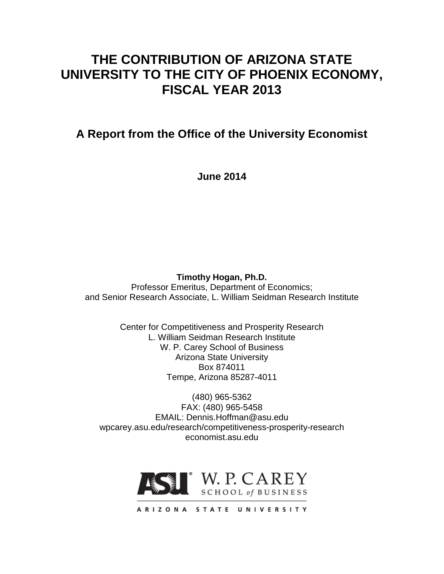# **THE CONTRIBUTION OF ARIZONA STATE UNIVERSITY TO THE CITY OF PHOENIX ECONOMY, FISCAL YEAR 2013**

**A Report from the Office of the University Economist**

**June 2014**

**Timothy Hogan, Ph.D.**

Professor Emeritus, Department of Economics; and Senior Research Associate, L. William Seidman Research Institute

> Center for Competitiveness and Prosperity Research L. William Seidman Research Institute W. P. Carey School of Business Arizona State University Box 874011 Tempe, Arizona 85287-4011

(480) 965-5362 FAX: (480) 965-5458 EMAIL: Dennis.Hoffman@asu.edu wpcarey.asu.edu/research/competitiveness-prosperity-research economist.asu.edu

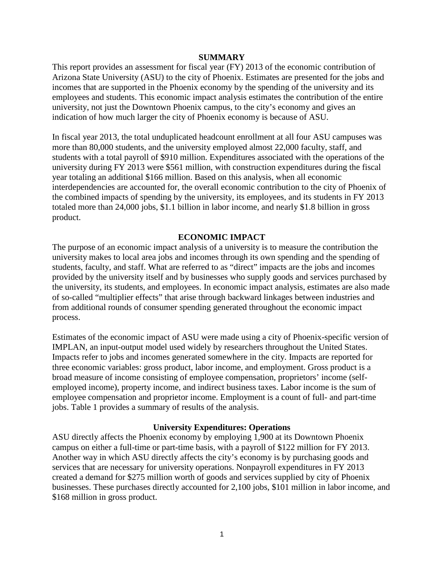#### **SUMMARY**

This report provides an assessment for fiscal year (FY) 2013 of the economic contribution of Arizona State University (ASU) to the city of Phoenix. Estimates are presented for the jobs and incomes that are supported in the Phoenix economy by the spending of the university and its employees and students. This economic impact analysis estimates the contribution of the entire university, not just the Downtown Phoenix campus, to the city's economy and gives an indication of how much larger the city of Phoenix economy is because of ASU.

In fiscal year 2013, the total unduplicated headcount enrollment at all four ASU campuses was more than 80,000 students, and the university employed almost 22,000 faculty, staff, and students with a total payroll of \$910 million. Expenditures associated with the operations of the university during FY 2013 were \$561 million, with construction expenditures during the fiscal year totaling an additional \$166 million. Based on this analysis, when all economic interdependencies are accounted for, the overall economic contribution to the city of Phoenix of the combined impacts of spending by the university, its employees, and its students in FY 2013 totaled more than 24,000 jobs, \$1.1 billion in labor income, and nearly \$1.8 billion in gross product.

# **ECONOMIC IMPACT**

The purpose of an economic impact analysis of a university is to measure the contribution the university makes to local area jobs and incomes through its own spending and the spending of students, faculty, and staff. What are referred to as "direct" impacts are the jobs and incomes provided by the university itself and by businesses who supply goods and services purchased by the university, its students, and employees. In economic impact analysis, estimates are also made of so-called "multiplier effects" that arise through backward linkages between industries and from additional rounds of consumer spending generated throughout the economic impact process.

Estimates of the economic impact of ASU were made using a city of Phoenix-specific version of IMPLAN, an input-output model used widely by researchers throughout the United States. Impacts refer to jobs and incomes generated somewhere in the city. Impacts are reported for three economic variables: gross product, labor income, and employment. Gross product is a broad measure of income consisting of employee compensation, proprietors' income (selfemployed income), property income, and indirect business taxes. Labor income is the sum of employee compensation and proprietor income. Employment is a count of full- and part-time jobs. Table 1 provides a summary of results of the analysis.

#### **University Expenditures: Operations**

ASU directly affects the Phoenix economy by employing 1,900 at its Downtown Phoenix campus on either a full-time or part-time basis, with a payroll of \$122 million for FY 2013. Another way in which ASU directly affects the city's economy is by purchasing goods and services that are necessary for university operations. Nonpayroll expenditures in FY 2013 created a demand for \$275 million worth of goods and services supplied by city of Phoenix businesses. These purchases directly accounted for 2,100 jobs, \$101 million in labor income, and \$168 million in gross product.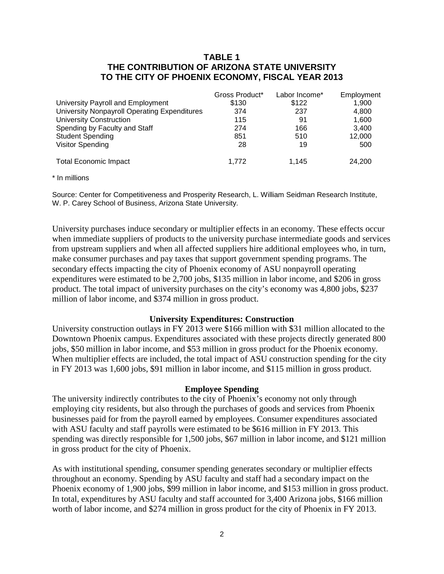# **TABLE 1 THE CONTRIBUTION OF ARIZONA STATE UNIVERSITY TO THE CITY OF PHOENIX ECONOMY, FISCAL YEAR 2013**

|                                              | Gross Product* | Labor Income* | Employment |
|----------------------------------------------|----------------|---------------|------------|
| University Payroll and Employment            | \$130          | \$122         | 1,900      |
| University Nonpayroll Operating Expenditures | 374            | 237           | 4.800      |
| <b>University Construction</b>               | 115            | 91            | 1.600      |
| Spending by Faculty and Staff                | 274            | 166           | 3.400      |
| <b>Student Spending</b>                      | 851            | 510           | 12,000     |
| <b>Visitor Spending</b>                      | 28             | 19            | 500        |
| <b>Total Economic Impact</b>                 | 1.772          | 1.145         | 24,200     |

\* In millions

Source: Center for Competitiveness and Prosperity Research, L. William Seidman Research Institute, W. P. Carey School of Business, Arizona State University.

University purchases induce secondary or multiplier effects in an economy. These effects occur when immediate suppliers of products to the university purchase intermediate goods and services from upstream suppliers and when all affected suppliers hire additional employees who, in turn, make consumer purchases and pay taxes that support government spending programs. The secondary effects impacting the city of Phoenix economy of ASU nonpayroll operating expenditures were estimated to be 2,700 jobs, \$135 million in labor income, and \$206 in gross product. The total impact of university purchases on the city's economy was 4,800 jobs, \$237 million of labor income, and \$374 million in gross product.

# **University Expenditures: Construction**

University construction outlays in FY 2013 were \$166 million with \$31 million allocated to the Downtown Phoenix campus. Expenditures associated with these projects directly generated 800 jobs, \$50 million in labor income, and \$53 million in gross product for the Phoenix economy. When multiplier effects are included, the total impact of ASU construction spending for the city in FY 2013 was 1,600 jobs, \$91 million in labor income, and \$115 million in gross product.

#### **Employee Spending**

The university indirectly contributes to the city of Phoenix's economy not only through employing city residents, but also through the purchases of goods and services from Phoenix businesses paid for from the payroll earned by employees. Consumer expenditures associated with ASU faculty and staff payrolls were estimated to be \$616 million in FY 2013. This spending was directly responsible for 1,500 jobs, \$67 million in labor income, and \$121 million in gross product for the city of Phoenix.

As with institutional spending, consumer spending generates secondary or multiplier effects throughout an economy. Spending by ASU faculty and staff had a secondary impact on the Phoenix economy of 1,900 jobs, \$99 million in labor income, and \$153 million in gross product. In total, expenditures by ASU faculty and staff accounted for 3,400 Arizona jobs, \$166 million worth of labor income, and \$274 million in gross product for the city of Phoenix in FY 2013.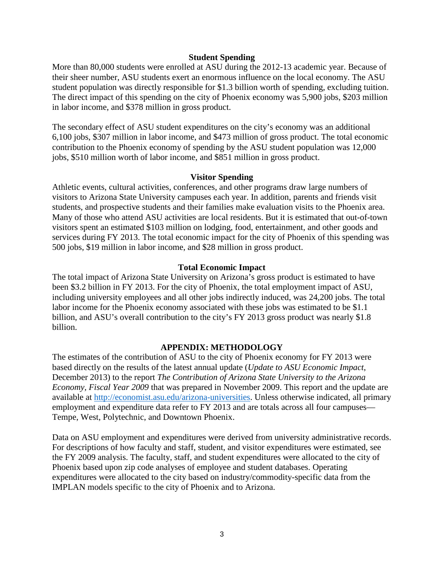#### **Student Spending**

More than 80,000 students were enrolled at ASU during the 2012-13 academic year. Because of their sheer number, ASU students exert an enormous influence on the local economy. The ASU student population was directly responsible for \$1.3 billion worth of spending, excluding tuition. The direct impact of this spending on the city of Phoenix economy was 5,900 jobs, \$203 million in labor income, and \$378 million in gross product.

The secondary effect of ASU student expenditures on the city's economy was an additional 6,100 jobs, \$307 million in labor income, and \$473 million of gross product. The total economic contribution to the Phoenix economy of spending by the ASU student population was 12,000 jobs, \$510 million worth of labor income, and \$851 million in gross product.

#### **Visitor Spending**

Athletic events, cultural activities, conferences, and other programs draw large numbers of visitors to Arizona State University campuses each year. In addition, parents and friends visit students, and prospective students and their families make evaluation visits to the Phoenix area. Many of those who attend ASU activities are local residents. But it is estimated that out-of-town visitors spent an estimated \$103 million on lodging, food, entertainment, and other goods and services during FY 2013. The total economic impact for the city of Phoenix of this spending was 500 jobs, \$19 million in labor income, and \$28 million in gross product.

#### **Total Economic Impact**

The total impact of Arizona State University on Arizona's gross product is estimated to have been \$3.2 billion in FY 2013. For the city of Phoenix, the total employment impact of ASU, including university employees and all other jobs indirectly induced, was 24,200 jobs. The total labor income for the Phoenix economy associated with these jobs was estimated to be \$1.1 billion, and ASU's overall contribution to the city's FY 2013 gross product was nearly \$1.8 billion.

# **APPENDIX: METHODOLOGY**

The estimates of the contribution of ASU to the city of Phoenix economy for FY 2013 were based directly on the results of the latest annual update (*Update to ASU Economic Impact*, December 2013) to the report *The Contribution of Arizona State University to the Arizona Economy, Fiscal Year 2009* that was prepared in November 2009. This report and the update are available at [http://economist.asu.edu/arizona-universities.](http://economist.asu.edu/arizona-universities) Unless otherwise indicated, all primary employment and expenditure data refer to FY 2013 and are totals across all four campuses— Tempe, West, Polytechnic, and Downtown Phoenix.

Data on ASU employment and expenditures were derived from university administrative records. For descriptions of how faculty and staff, student, and visitor expenditures were estimated, see the FY 2009 analysis. The faculty, staff, and student expenditures were allocated to the city of Phoenix based upon zip code analyses of employee and student databases. Operating expenditures were allocated to the city based on industry/commodity-specific data from the IMPLAN models specific to the city of Phoenix and to Arizona.